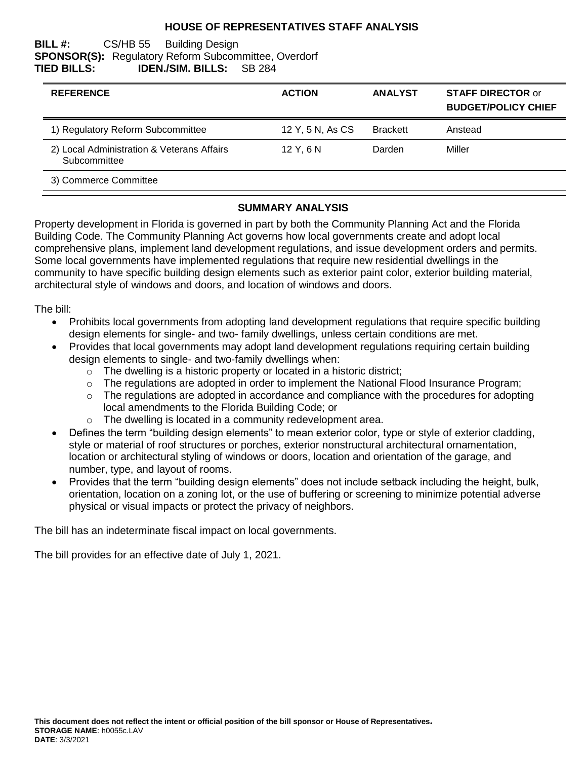### **HOUSE OF REPRESENTATIVES STAFF ANALYSIS**

#### **BILL #:** CS/HB 55 Building Design **SPONSOR(S):** Regulatory Reform Subcommittee, Overdorf **TIED BILLS: IDEN./SIM. BILLS:** SB 284

| <b>REFERENCE</b>                                           | <b>ACTION</b>    | <b>ANALYST</b>  | <b>STAFF DIRECTOR or</b><br><b>BUDGET/POLICY CHIEF</b> |
|------------------------------------------------------------|------------------|-----------------|--------------------------------------------------------|
| 1) Regulatory Reform Subcommittee                          | 12 Y, 5 N, As CS | <b>Brackett</b> | Anstead                                                |
| 2) Local Administration & Veterans Affairs<br>Subcommittee | 12Y.6N           | Darden          | Miller                                                 |
| 3) Commerce Committee                                      |                  |                 |                                                        |

### **SUMMARY ANALYSIS**

Property development in Florida is governed in part by both the Community Planning Act and the Florida Building Code. The Community Planning Act governs how local governments create and adopt local comprehensive plans, implement land development regulations, and issue development orders and permits. Some local governments have implemented regulations that require new residential dwellings in the community to have specific building design elements such as exterior paint color, exterior building material, architectural style of windows and doors, and location of windows and doors.

The bill:

- Prohibits local governments from adopting land development regulations that require specific building design elements for single- and two- family dwellings, unless certain conditions are met.
- Provides that local governments may adopt land development regulations requiring certain building design elements to single- and two-family dwellings when:
	- $\circ$  The dwelling is a historic property or located in a historic district;
	- $\circ$  The regulations are adopted in order to implement the National Flood Insurance Program;
	- o The regulations are adopted in accordance and compliance with the procedures for adopting local amendments to the Florida Building Code; or
	- o The dwelling is located in a community redevelopment area.
- Defines the term "building design elements" to mean exterior color, type or style of exterior cladding, style or material of roof structures or porches, exterior nonstructural architectural ornamentation, location or architectural styling of windows or doors, location and orientation of the garage, and number, type, and layout of rooms.
- Provides that the term "building design elements" does not include setback including the height, bulk, orientation, location on a zoning lot, or the use of buffering or screening to minimize potential adverse physical or visual impacts or protect the privacy of neighbors.

The bill has an indeterminate fiscal impact on local governments.

The bill provides for an effective date of July 1, 2021.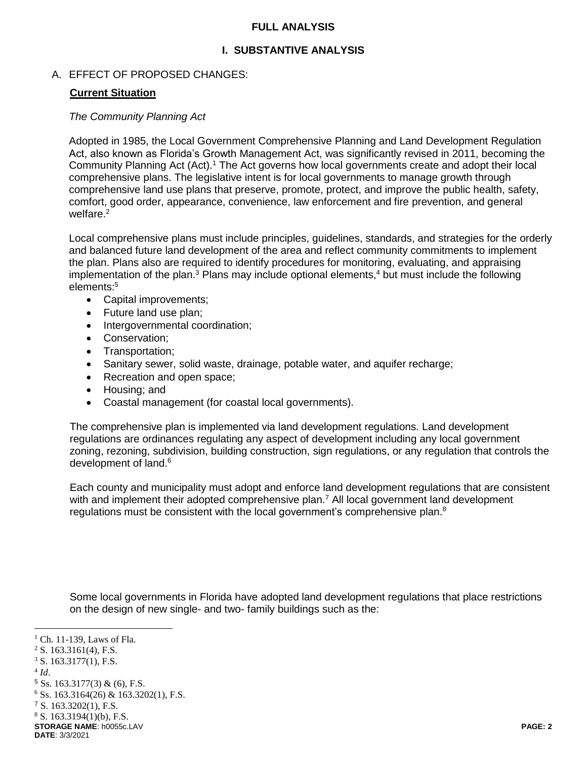### **FULL ANALYSIS**

### **I. SUBSTANTIVE ANALYSIS**

### A. EFFECT OF PROPOSED CHANGES:

### **Current Situation**

#### *The Community Planning Act*

Adopted in 1985, the Local Government Comprehensive Planning and Land Development Regulation Act, also known as Florida's Growth Management Act, was significantly revised in 2011, becoming the Community Planning Act (Act).<sup>1</sup> The Act governs how local governments create and adopt their local comprehensive plans. The legislative intent is for local governments to manage growth through comprehensive land use plans that preserve, promote, protect, and improve the public health, safety, comfort, good order, appearance, convenience, law enforcement and fire prevention, and general welfare.<sup>2</sup>

Local comprehensive plans must include principles, guidelines, standards, and strategies for the orderly and balanced future land development of the area and reflect community commitments to implement the plan. Plans also are required to identify procedures for monitoring, evaluating, and appraising implementation of the plan. $3$  Plans may include optional elements, $4$  but must include the following elements:<sup>5</sup>

- Capital improvements;
- Future land use plan;
- Intergovernmental coordination;
- Conservation;
- Transportation:
- Sanitary sewer, solid waste, drainage, potable water, and aquifer recharge;
- Recreation and open space;
- Housing; and
- Coastal management (for coastal local governments).

The comprehensive plan is implemented via land development regulations. Land development regulations are ordinances regulating any aspect of development including any local government zoning, rezoning, subdivision, building construction, sign regulations, or any regulation that controls the development of land.<sup>6</sup>

Each county and municipality must adopt and enforce land development regulations that are consistent with and implement their adopted comprehensive plan.<sup>7</sup> All local government land development regulations must be consistent with the local government's comprehensive plan. $8$ 

Some local governments in Florida have adopted land development regulations that place restrictions on the design of new single- and two- family buildings such as the:

 $<sup>1</sup>$  Ch. 11-139, Laws of Fla.</sup>

 $2$  S. 163.3161(4), F.S.

 $3$  S. 163.3177(1), F.S.

<sup>4</sup> *Id*.

 $5$  Ss. 163.3177(3) & (6), F.S.

 $6$  Ss. 163.3164(26) & 163.3202(1), F.S.

<sup>7</sup> S. 163.3202(1), F.S.

 $8$  S. 163.3194(1)(b), F.S.

**STORAGE NAME**: h0055c.LAV **PAGE: 2 DATE**: 3/3/2021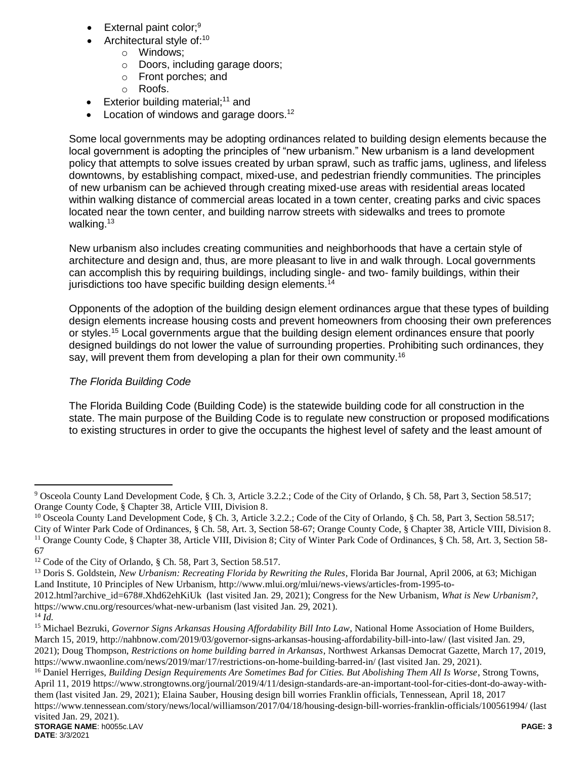- External paint color;<sup>9</sup>
- Architectural style of:<sup>10</sup>
	- o Windows;
	- o Doors, including garage doors;
	- o Front porches; and
	- o Roofs.
- Exterior building material;<sup>11</sup> and
- Location of windows and garage doors.<sup>12</sup>

Some local governments may be adopting ordinances related to building design elements because the local government is adopting the principles of "new urbanism." New urbanism is a land development policy that attempts to solve issues created by urban sprawl, such as traffic jams, ugliness, and lifeless downtowns, by establishing compact, mixed-use, and pedestrian friendly communities. The principles of new urbanism can be achieved through creating mixed-use areas with residential areas located within walking distance of commercial areas located in a town center, creating parks and civic spaces located near the town center, and building narrow streets with sidewalks and trees to promote walking.<sup>13</sup>

New urbanism also includes creating communities and neighborhoods that have a certain style of architecture and design and, thus, are more pleasant to live in and walk through. Local governments can accomplish this by requiring buildings, including single- and two- family buildings, within their jurisdictions too have specific building design elements.<sup>14</sup>

Opponents of the adoption of the building design element ordinances argue that these types of building design elements increase housing costs and prevent homeowners from choosing their own preferences or styles.<sup>15</sup> Local governments argue that the building design element ordinances ensure that poorly designed buildings do not lower the value of surrounding properties. Prohibiting such ordinances, they say, will prevent them from developing a plan for their own community.<sup>16</sup>

# *The Florida Building Code*

The Florida Building Code (Building Code) is the statewide building code for all construction in the state. The main purpose of the Building Code is to regulate new construction or proposed modifications to existing structures in order to give the occupants the highest level of safety and the least amount of

<sup>9</sup> Osceola County Land Development Code, § Ch. 3, Article 3.2.2.; Code of the City of Orlando, § Ch. 58, Part 3, Section 58.517; Orange County Code, § Chapter 38, Article VIII, Division 8.

<sup>&</sup>lt;sup>10</sup> Osceola County Land Development Code, § Ch. 3, Article 3.2.2.; Code of the City of Orlando, § Ch. 58, Part 3, Section 58.517; City of Winter Park Code of Ordinances, § Ch. 58, Art. 3, Section 58-67; Orange County Code, § Chapter 38, Article VIII, Division 8. <sup>11</sup> Orange County Code, § Chapter 38, Article VIII, Division 8; City of Winter Park Code of Ordinances, § Ch. 58, Art. 3, Section 58-67

<sup>12</sup> Code of the City of Orlando, § Ch. 58, Part 3, Section 58.517.

<sup>&</sup>lt;sup>13</sup> Doris S. Goldstein, *New Urbanism: Recreating Florida by Rewriting the Rules*, Florida Bar Journal, April 2006, at 63; Michigan Land Institute, 10 Principles of New Urbanism, http://www.mlui.org/mlui/news-views/articles-from-1995-to-

<sup>2012.</sup>html?archive\_id=678#.Xhd62ehKiUk (last visited Jan. 29, 2021); Congress for the New Urbanism, *What is New Urbanism?*, https://www.cnu.org/resources/what-new-urbanism (last visited Jan. 29, 2021).

 $^{14}$  $\tilde{I}$ *d*.

<sup>15</sup> Michael Bezruki, *Governor Signs Arkansas Housing Affordability Bill Into Law*, National Home Association of Home Builders, March 15, 2019, http://nahbnow.com/2019/03/governor-signs-arkansas-housing-affordability-bill-into-law/ (last visited Jan. 29, 2021); Doug Thompson, *Restrictions on home building barred in Arkansas*, Northwest Arkansas Democrat Gazette, March 17, 2019, https://www.nwaonline.com/news/2019/mar/17/restrictions-on-home-building-barred-in/ (last visited Jan. 29, 2021).

**STORAGE NAME**: h0055c.LAV **PAGE: 3** <sup>16</sup> Daniel Herriges, *Building Design Requirements Are Sometimes Bad for Cities. But Abolishing Them All Is Worse*, Strong Towns, April 11, 2019 https://www.strongtowns.org/journal/2019/4/11/design-standards-are-an-important-tool-for-cities-dont-do-away-withthem (last visited Jan. 29, 2021); Elaina Sauber, Housing design bill worries Franklin officials, Tennessean, April 18, 2017 https://www.tennessean.com/story/news/local/williamson/2017/04/18/housing-design-bill-worries-franklin-officials/100561994/ (last visited Jan. 29, 2021).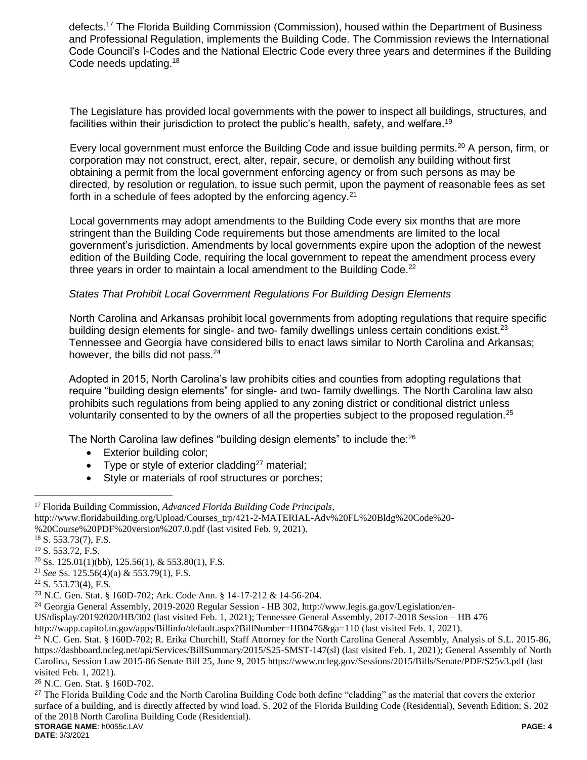defects.<sup>17</sup> The Florida Building Commission (Commission), housed within the Department of Business and Professional Regulation, implements the Building Code. The Commission reviews the International Code Council's I-Codes and the National Electric Code every three years and determines if the Building Code needs updating.<sup>18</sup>

The Legislature has provided local governments with the power to inspect all buildings, structures, and facilities within their jurisdiction to protect the public's health, safety, and welfare.<sup>19</sup>

Every local government must enforce the Building Code and issue building permits.<sup>20</sup> A person, firm, or corporation may not construct, erect, alter, repair, secure, or demolish any building without first obtaining a permit from the local government enforcing agency or from such persons as may be directed, by resolution or regulation, to issue such permit, upon the payment of reasonable fees as set forth in a schedule of fees adopted by the enforcing agency.<sup>21</sup>

Local governments may adopt amendments to the Building Code every six months that are more stringent than the Building Code requirements but those amendments are limited to the local government's jurisdiction. Amendments by local governments expire upon the adoption of the newest edition of the Building Code, requiring the local government to repeat the amendment process every three years in order to maintain a local amendment to the Building Code.<sup>22</sup>

### *States That Prohibit Local Government Regulations For Building Design Elements*

North Carolina and Arkansas prohibit local governments from adopting regulations that require specific building design elements for single- and two- family dwellings unless certain conditions exist.<sup>23</sup> Tennessee and Georgia have considered bills to enact laws similar to North Carolina and Arkansas; however, the bills did not pass.  $24$ 

Adopted in 2015, North Carolina's law prohibits cities and counties from adopting regulations that require "building design elements" for single- and two- family dwellings. The North Carolina law also prohibits such regulations from being applied to any zoning district or conditional district unless voluntarily consented to by the owners of all the properties subject to the proposed regulation.<sup>25</sup>

The North Carolina law defines "building design elements" to include the:<sup>26</sup>

- Exterior building color;
- Type or style of exterior cladding<sup>27</sup> material;
- Style or materials of roof structures or porches;

 $\overline{a}$ 

US/display/20192020/HB/302 (last visited Feb. 1, 2021); Tennessee General Assembly, 2017-2018 Session – HB 476

<sup>17</sup> Florida Building Commission, *Advanced Florida Building Code Principals*,

http://www.floridabuilding.org/Upload/Courses\_trp/421-2-MATERIAL-Adv%20FL%20Bldg%20Code%20-

<sup>%20</sup>Course%20PDF%20version%207.0.pdf (last visited Feb. 9, 2021).

<sup>18</sup> S. 553.73(7), F.S.

<sup>19</sup> S. 553.72, F.S.

 $20$  Ss. 125.01(1)(bb), 125.56(1), & 553.80(1), F.S.

<sup>21</sup> *See* Ss. 125.56(4)(a) & 553.79(1), F.S.

 $22$  S. 553.73(4), F.S.

<sup>23</sup> N.C. Gen. Stat. § 160D-702; Ark. Code Ann. § 14-17-212 & 14-56-204.

<sup>24</sup> Georgia General Assembly, 2019-2020 Regular Session - HB 302, http://www.legis.ga.gov/Legislation/en-

http://wapp.capitol.tn.gov/apps/Billinfo/default.aspx?BillNumber=HB0476&ga=110 (last visited Feb. 1, 2021).

<sup>&</sup>lt;sup>25</sup> N.C. Gen. Stat. § 160D-702; R. Erika Churchill, Staff Attorney for the North Carolina General Assembly, Analysis of S.L. 2015-86, https://dashboard.ncleg.net/api/Services/BillSummary/2015/S25-SMST-147(sl) (last visited Feb. 1, 2021); General Assembly of North Carolina, Session Law 2015-86 Senate Bill 25, June 9, 2015 https://www.ncleg.gov/Sessions/2015/Bills/Senate/PDF/S25v3.pdf (last visited Feb. 1, 2021).

<sup>26</sup> N.C. Gen. Stat. § 160D-702.

**STORAGE NAME**: h0055c.LAV **PAGE: 4** <sup>27</sup> The Florida Building Code and the North Carolina Building Code both define "cladding" as the material that covers the exterior surface of a building, and is directly affected by wind load. S. 202 of the Florida Building Code (Residential), Seventh Edition; S. 202 of the 2018 North Carolina Building Code (Residential).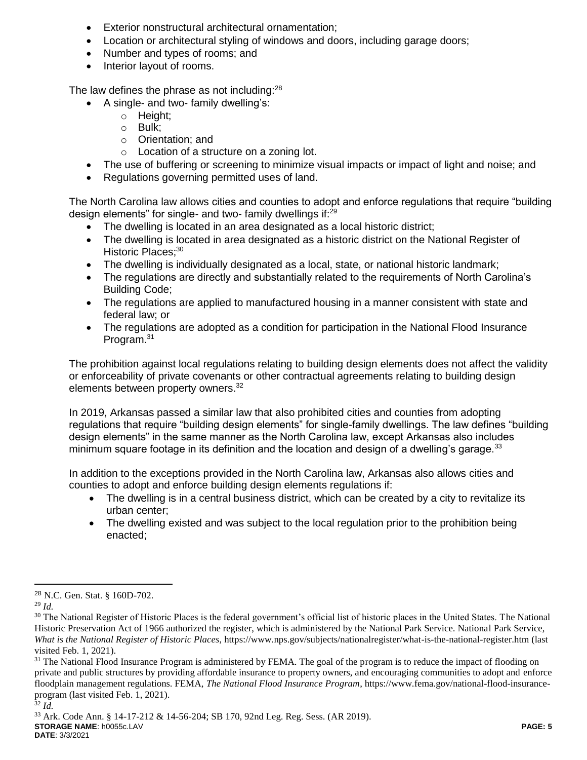- Exterior nonstructural architectural ornamentation;
- Location or architectural styling of windows and doors, including garage doors;
- Number and types of rooms; and
- Interior layout of rooms.

The law defines the phrase as not including:<sup>28</sup>

- A single- and two- family dwelling's:
	- o Height;
	- o Bulk;
	- o Orientation; and
	- o Location of a structure on a zoning lot.
- The use of buffering or screening to minimize visual impacts or impact of light and noise; and
- Regulations governing permitted uses of land.

The North Carolina law allows cities and counties to adopt and enforce regulations that require "building design elements" for single- and two- family dwellings if:<sup>29</sup>

- The dwelling is located in an area designated as a local historic district;
- The dwelling is located in area designated as a historic district on the National Register of Historic Places;<sup>30</sup>
- The dwelling is individually designated as a local, state, or national historic landmark;
- The regulations are directly and substantially related to the requirements of North Carolina's Building Code;
- The regulations are applied to manufactured housing in a manner consistent with state and federal law; or
- The regulations are adopted as a condition for participation in the National Flood Insurance Program.<sup>31</sup>

The prohibition against local regulations relating to building design elements does not affect the validity or enforceability of private covenants or other contractual agreements relating to building design elements between property owners.<sup>32</sup>

In 2019, Arkansas passed a similar law that also prohibited cities and counties from adopting regulations that require "building design elements" for single-family dwellings. The law defines "building design elements" in the same manner as the North Carolina law, except Arkansas also includes minimum square footage in its definition and the location and design of a dwelling's garage. $33$ 

In addition to the exceptions provided in the North Carolina law, Arkansas also allows cities and counties to adopt and enforce building design elements regulations if:

- The dwelling is in a central business district, which can be created by a city to revitalize its urban center;
- The dwelling existed and was subject to the local regulation prior to the prohibition being enacted;

<sup>28</sup> N.C. Gen. Stat. § 160D-702.

<sup>29</sup> *Id.*

<sup>&</sup>lt;sup>30</sup> The National Register of Historic Places is the federal government's official list of historic places in the United States. The National Historic Preservation Act of 1966 authorized the register, which is administered by the National Park Service. National Park Service, *What is the National Register of Historic Places*, https://www.nps.gov/subjects/nationalregister/what-is-the-national-register.htm (last visited Feb. 1, 2021).

<sup>&</sup>lt;sup>31</sup> The National Flood Insurance Program is administered by FEMA. The goal of the program is to reduce the impact of flooding on private and public structures by providing affordable insurance to property owners, and encouraging communities to adopt and enforce floodplain management regulations. FEMA, *The National Flood Insurance Program*, https://www.fema.gov/national-flood-insuranceprogram (last visited Feb. 1, 2021).

<sup>32</sup> *Id.*

**STORAGE NAME**: h0055c.LAV **PAGE: 5 DATE**: 3/3/2021 <sup>33</sup> Ark. Code Ann. § 14-17-212 & 14-56-204; SB 170, 92nd Leg. Reg. Sess. (AR 2019).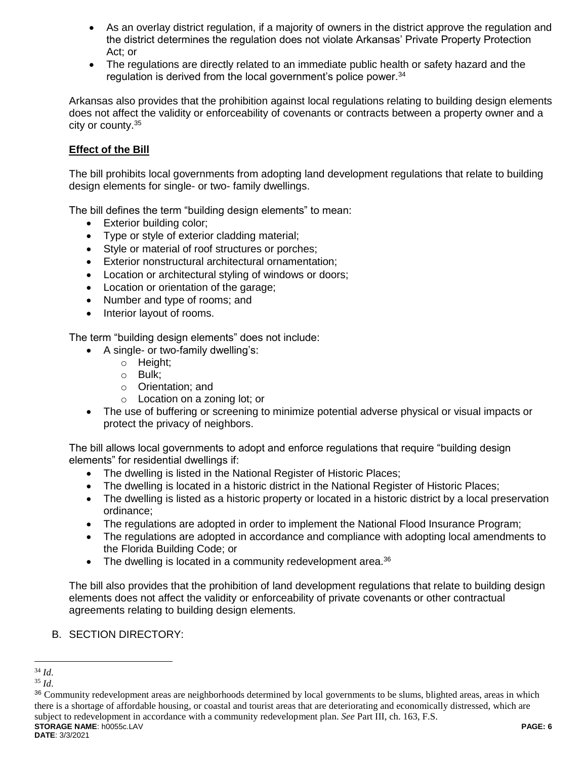- As an overlay district regulation, if a majority of owners in the district approve the regulation and the district determines the regulation does not violate Arkansas' Private Property Protection Act; or
- The regulations are directly related to an immediate public health or safety hazard and the regulation is derived from the local government's police power.<sup>34</sup>

Arkansas also provides that the prohibition against local regulations relating to building design elements does not affect the validity or enforceability of covenants or contracts between a property owner and a city or county.<sup>35</sup>

## **Effect of the Bill**

The bill prohibits local governments from adopting land development regulations that relate to building design elements for single- or two- family dwellings.

The bill defines the term "building design elements" to mean:

- Exterior building color:
- Type or style of exterior cladding material;
- Style or material of roof structures or porches;
- Exterior nonstructural architectural ornamentation;
- Location or architectural styling of windows or doors;
- Location or orientation of the garage;
- Number and type of rooms; and
- Interior layout of rooms.

The term "building design elements" does not include:

- A single- or two-family dwelling's:
	- o Height;
	- o Bulk;
	- o Orientation; and
	- o Location on a zoning lot; or
- The use of buffering or screening to minimize potential adverse physical or visual impacts or protect the privacy of neighbors.

The bill allows local governments to adopt and enforce regulations that require "building design elements" for residential dwellings if:

- The dwelling is listed in the National Register of Historic Places;
- The dwelling is located in a historic district in the National Register of Historic Places;
- The dwelling is listed as a historic property or located in a historic district by a local preservation ordinance;
- The regulations are adopted in order to implement the National Flood Insurance Program;
- The regulations are adopted in accordance and compliance with adopting local amendments to the Florida Building Code; or
- The dwelling is located in a community redevelopment area.<sup>36</sup>

The bill also provides that the prohibition of land development regulations that relate to building design elements does not affect the validity or enforceability of private covenants or other contractual agreements relating to building design elements.

### B. SECTION DIRECTORY:

<sup>34</sup> *Id*.

<sup>35</sup> *Id*.

**STORAGE NAME**: h0055c.LAV **PAGE: 6** <sup>36</sup> Community redevelopment areas are neighborhoods determined by local governments to be slums, blighted areas, areas in which there is a shortage of affordable housing, or coastal and tourist areas that are deteriorating and economically distressed, which are subject to redevelopment in accordance with a community redevelopment plan. *See* Part III, ch. 163, F.S.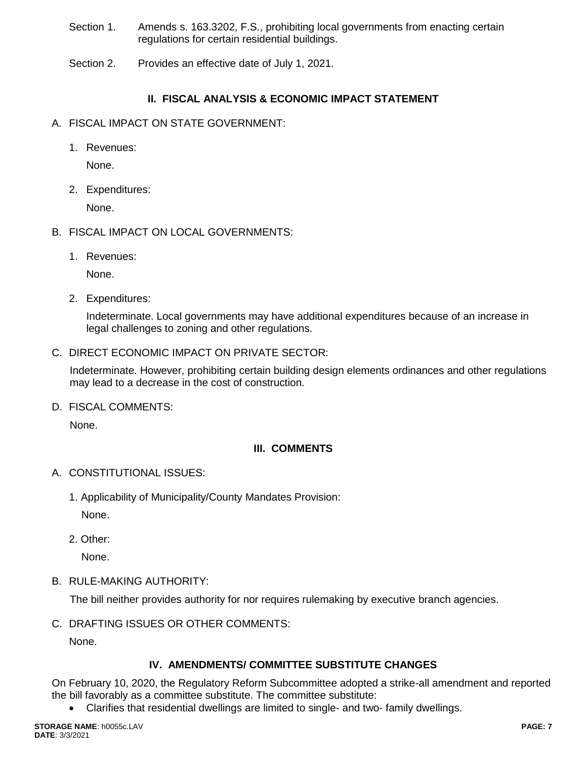- Section 1. Amends s. 163.3202, F.S., prohibiting local governments from enacting certain regulations for certain residential buildings.
- Section 2. Provides an effective date of July 1, 2021.

# **II. FISCAL ANALYSIS & ECONOMIC IMPACT STATEMENT**

- A. FISCAL IMPACT ON STATE GOVERNMENT:
	- 1. Revenues:

None.

2. Expenditures:

None.

- B. FISCAL IMPACT ON LOCAL GOVERNMENTS:
	- 1. Revenues:

None.

2. Expenditures:

Indeterminate. Local governments may have additional expenditures because of an increase in legal challenges to zoning and other regulations.

C. DIRECT ECONOMIC IMPACT ON PRIVATE SECTOR:

Indeterminate. However, prohibiting certain building design elements ordinances and other regulations may lead to a decrease in the cost of construction.

D. FISCAL COMMENTS:

None.

# **III. COMMENTS**

- A. CONSTITUTIONAL ISSUES:
	- 1. Applicability of Municipality/County Mandates Provision:

None.

2. Other:

None.

B. RULE-MAKING AUTHORITY:

The bill neither provides authority for nor requires rulemaking by executive branch agencies.

C. DRAFTING ISSUES OR OTHER COMMENTS:

None.

# **IV. AMENDMENTS/ COMMITTEE SUBSTITUTE CHANGES**

On February 10, 2020, the Regulatory Reform Subcommittee adopted a strike-all amendment and reported the bill favorably as a committee substitute. The committee substitute:

Clarifies that residential dwellings are limited to single- and two- family dwellings.